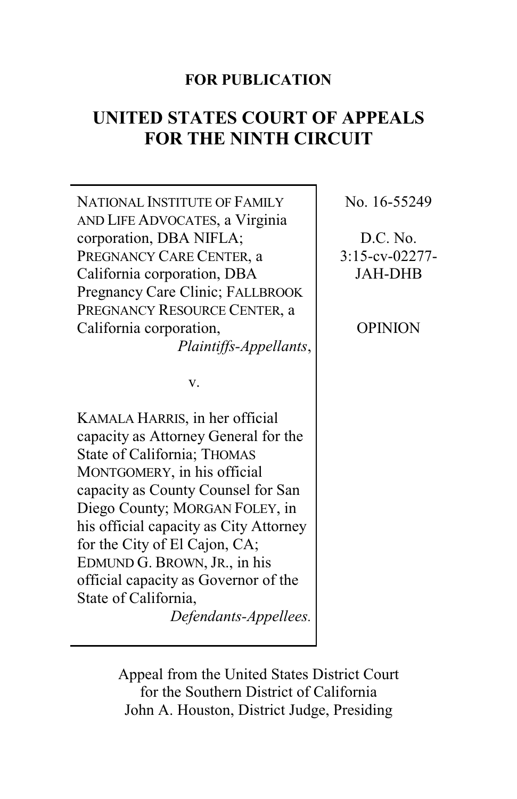## **FOR PUBLICATION**

# **UNITED STATES COURT OF APPEALS FOR THE NINTH CIRCUIT**

NATIONAL INSTITUTE OF FAMILY AND LIFE ADVOCATES, a Virginia corporation, DBA NIFLA; PREGNANCY CARE CENTER, a California corporation, DBA Pregnancy Care Clinic; FALLBROOK PREGNANCY RESOURCE CENTER, a California corporation, *Plaintiffs-Appellants*,

v.

KAMALA HARRIS, in her official capacity as Attorney General for the State of California; THOMAS MONTGOMERY, in his official capacity as County Counsel for San Diego County; MORGAN FOLEY, in his official capacity as City Attorney for the City of El Cajon, CA; EDMUND G. BROWN, JR., in his official capacity as Governor of the State of California,

*Defendants-Appellees.*

No. 16-55249

D.C. No. 3:15-cv-02277- JAH-DHB

OPINION

Appeal from the United States District Court for the Southern District of California John A. Houston, District Judge, Presiding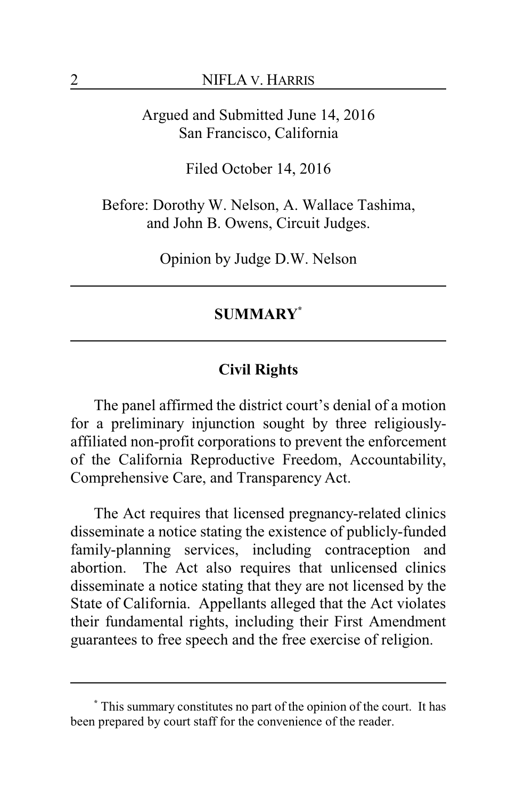Argued and Submitted June 14, 2016 San Francisco, California

Filed October 14, 2016

Before: Dorothy W. Nelson, A. Wallace Tashima, and John B. Owens, Circuit Judges.

Opinion by Judge D.W. Nelson

## **SUMMARY\***

### **Civil Rights**

The panel affirmed the district court's denial of a motion for a preliminary injunction sought by three religiouslyaffiliated non-profit corporations to prevent the enforcement of the California Reproductive Freedom, Accountability, Comprehensive Care, and Transparency Act.

The Act requires that licensed pregnancy-related clinics disseminate a notice stating the existence of publicly-funded family-planning services, including contraception and abortion. The Act also requires that unlicensed clinics disseminate a notice stating that they are not licensed by the State of California. Appellants alleged that the Act violates their fundamental rights, including their First Amendment guarantees to free speech and the free exercise of religion.

**<sup>\*</sup>** This summary constitutes no part of the opinion of the court. It has been prepared by court staff for the convenience of the reader.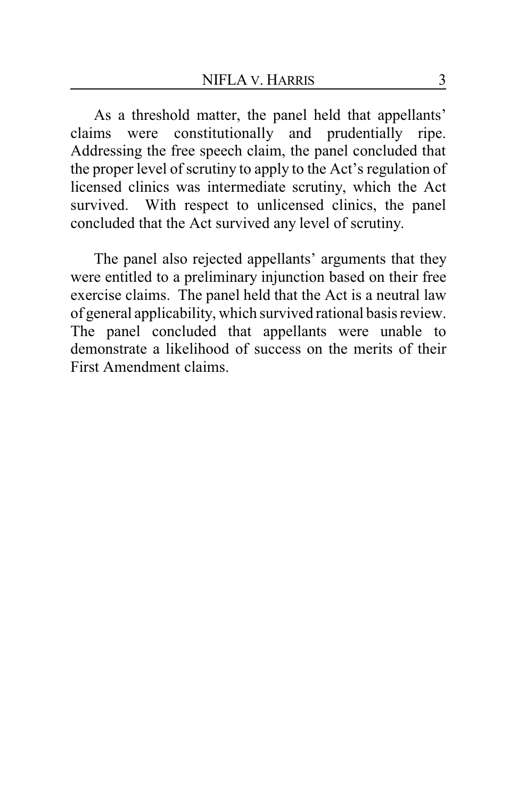As a threshold matter, the panel held that appellants' claims were constitutionally and prudentially ripe. Addressing the free speech claim, the panel concluded that the proper level of scrutiny to apply to the Act's regulation of licensed clinics was intermediate scrutiny, which the Act survived. With respect to unlicensed clinics, the panel concluded that the Act survived any level of scrutiny.

The panel also rejected appellants' arguments that they were entitled to a preliminary injunction based on their free exercise claims. The panel held that the Act is a neutral law of general applicability, which survived rational basis review. The panel concluded that appellants were unable to demonstrate a likelihood of success on the merits of their First Amendment claims.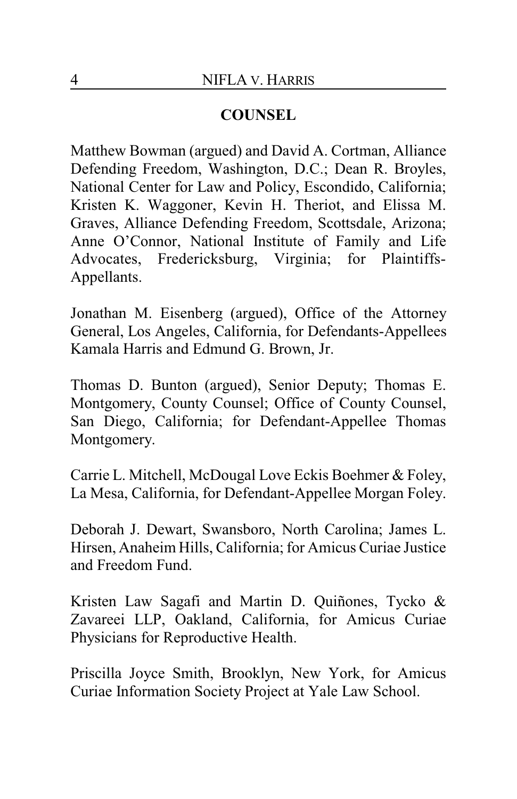# **COUNSEL**

Matthew Bowman (argued) and David A. Cortman, Alliance Defending Freedom, Washington, D.C.; Dean R. Broyles, National Center for Law and Policy, Escondido, California; Kristen K. Waggoner, Kevin H. Theriot, and Elissa M. Graves, Alliance Defending Freedom, Scottsdale, Arizona; Anne O'Connor, National Institute of Family and Life Advocates, Fredericksburg, Virginia; for Plaintiffs-Appellants.

Jonathan M. Eisenberg (argued), Office of the Attorney General, Los Angeles, California, for Defendants-Appellees Kamala Harris and Edmund G. Brown, Jr.

Thomas D. Bunton (argued), Senior Deputy; Thomas E. Montgomery, County Counsel; Office of County Counsel, San Diego, California; for Defendant-Appellee Thomas Montgomery.

Carrie L. Mitchell, McDougal Love Eckis Boehmer & Foley, La Mesa, California, for Defendant-Appellee Morgan Foley.

Deborah J. Dewart, Swansboro, North Carolina; James L. Hirsen, Anaheim Hills, California; for Amicus Curiae Justice and Freedom Fund.

Kristen Law Sagafi and Martin D. Quiñones, Tycko & Zavareei LLP, Oakland, California, for Amicus Curiae Physicians for Reproductive Health.

Priscilla Joyce Smith, Brooklyn, New York, for Amicus Curiae Information Society Project at Yale Law School.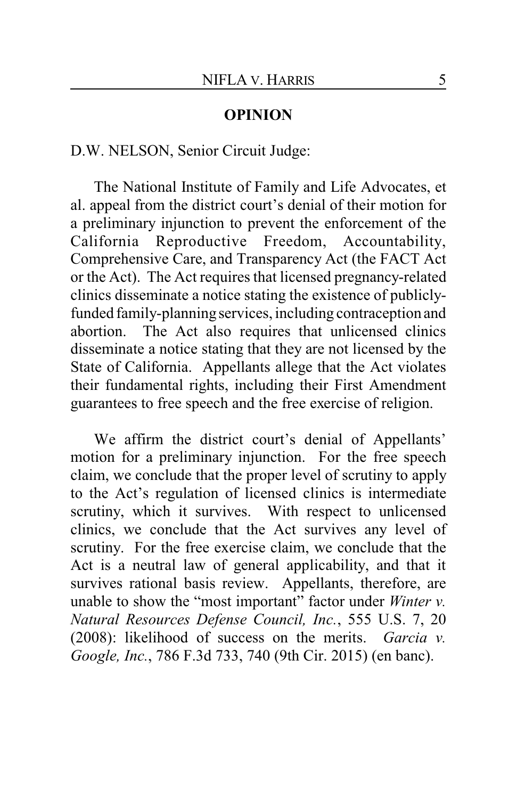#### **OPINION**

## D.W. NELSON, Senior Circuit Judge:

The National Institute of Family and Life Advocates, et al. appeal from the district court's denial of their motion for a preliminary injunction to prevent the enforcement of the California Reproductive Freedom, Accountability, Comprehensive Care, and Transparency Act (the FACT Act or the Act). The Act requires that licensed pregnancy-related clinics disseminate a notice stating the existence of publiclyfunded family-planning services, including contraception and abortion. The Act also requires that unlicensed clinics disseminate a notice stating that they are not licensed by the State of California. Appellants allege that the Act violates their fundamental rights, including their First Amendment guarantees to free speech and the free exercise of religion.

We affirm the district court's denial of Appellants' motion for a preliminary injunction. For the free speech claim, we conclude that the proper level of scrutiny to apply to the Act's regulation of licensed clinics is intermediate scrutiny, which it survives. With respect to unlicensed clinics, we conclude that the Act survives any level of scrutiny. For the free exercise claim, we conclude that the Act is a neutral law of general applicability, and that it survives rational basis review. Appellants, therefore, are unable to show the "most important" factor under *Winter v. Natural Resources Defense Council, Inc.*, 555 U.S. 7, 20 (2008): likelihood of success on the merits. *Garcia v. Google, Inc.*, 786 F.3d 733, 740 (9th Cir. 2015) (en banc).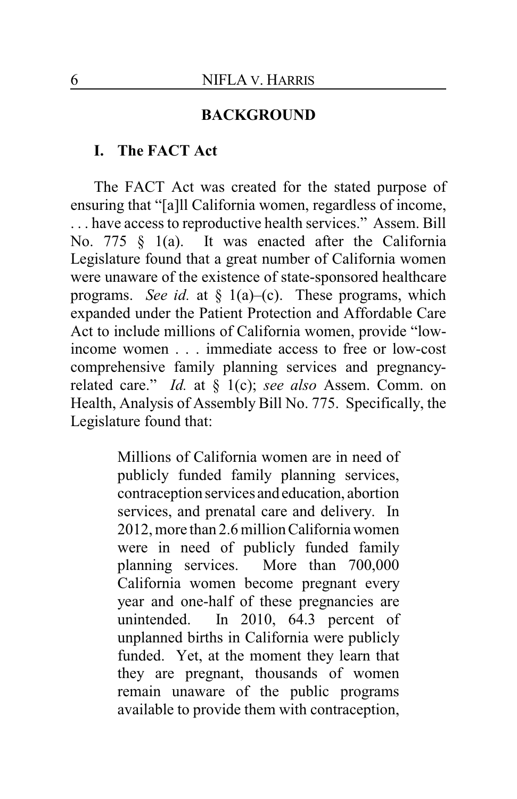#### **BACKGROUND**

## **I. The FACT Act**

The FACT Act was created for the stated purpose of ensuring that "[a]ll California women, regardless of income, . . . have access to reproductive health services." Assem. Bill No. 775 § 1(a). It was enacted after the California Legislature found that a great number of California women were unaware of the existence of state-sponsored healthcare programs. *See id.* at § 1(a)–(c). These programs, which expanded under the Patient Protection and Affordable Care Act to include millions of California women, provide "lowincome women . . . immediate access to free or low-cost comprehensive family planning services and pregnancyrelated care." *Id.* at § 1(c); *see also* Assem. Comm. on Health, Analysis of Assembly Bill No. 775. Specifically, the Legislature found that:

> Millions of California women are in need of publicly funded family planning services, contraception services and education, abortion services, and prenatal care and delivery. In 2012, more than 2.6 millionCalifornia women were in need of publicly funded family planning services. More than 700,000 California women become pregnant every year and one-half of these pregnancies are unintended. In 2010, 64.3 percent of unplanned births in California were publicly funded. Yet, at the moment they learn that they are pregnant, thousands of women remain unaware of the public programs available to provide them with contraception,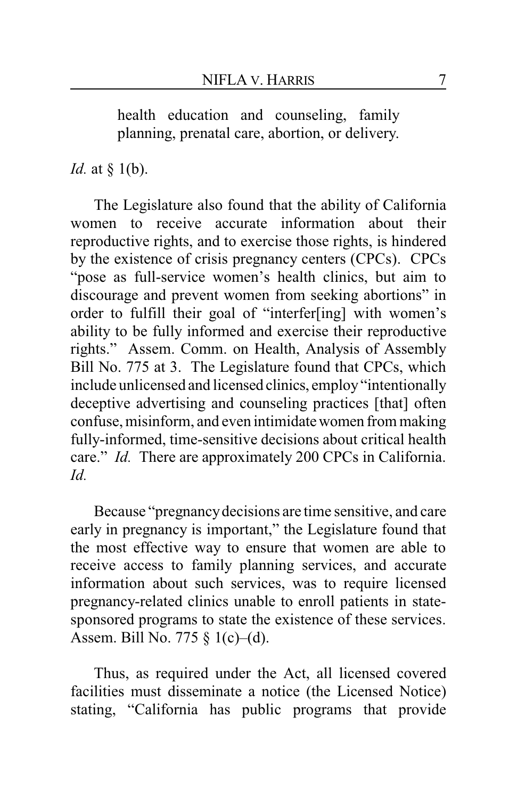health education and counseling, family planning, prenatal care, abortion, or delivery.

*Id.* at § 1(b).

The Legislature also found that the ability of California women to receive accurate information about their reproductive rights, and to exercise those rights, is hindered by the existence of crisis pregnancy centers (CPCs). CPCs "pose as full-service women's health clinics, but aim to discourage and prevent women from seeking abortions" in order to fulfill their goal of "interfer[ing] with women's ability to be fully informed and exercise their reproductive rights." Assem. Comm. on Health, Analysis of Assembly Bill No. 775 at 3. The Legislature found that CPCs, which include unlicensed and licensed clinics, employ"intentionally deceptive advertising and counseling practices [that] often confuse, misinform, and even intimidatewomen from making fully-informed, time-sensitive decisions about critical health care." *Id.* There are approximately 200 CPCs in California. *Id.*

Because "pregnancydecisions are time sensitive, and care early in pregnancy is important," the Legislature found that the most effective way to ensure that women are able to receive access to family planning services, and accurate information about such services, was to require licensed pregnancy-related clinics unable to enroll patients in statesponsored programs to state the existence of these services. Assem. Bill No. 775 § 1(c)–(d).

Thus, as required under the Act, all licensed covered facilities must disseminate a notice (the Licensed Notice) stating, "California has public programs that provide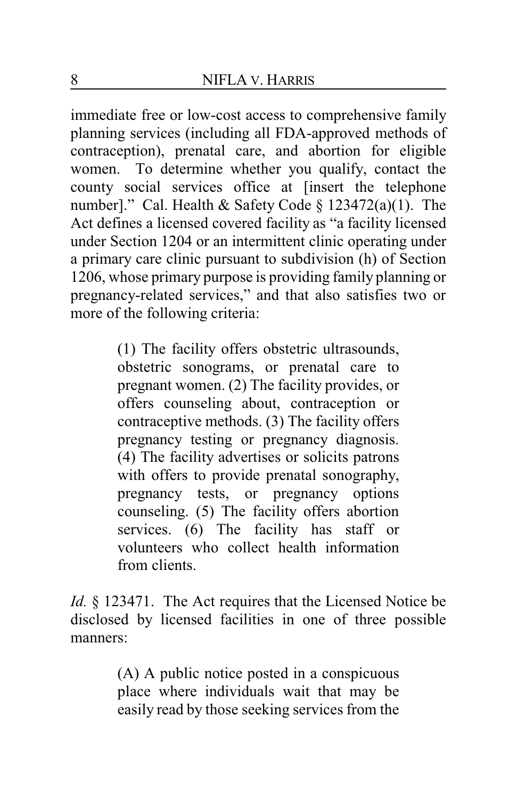immediate free or low-cost access to comprehensive family planning services (including all FDA-approved methods of contraception), prenatal care, and abortion for eligible women. To determine whether you qualify, contact the county social services office at [insert the telephone number]." Cal. Health & Safety Code § 123472(a)(1). The Act defines a licensed covered facility as "a facility licensed under Section 1204 or an intermittent clinic operating under a primary care clinic pursuant to subdivision (h) of Section 1206, whose primary purpose is providing family planning or pregnancy-related services," and that also satisfies two or more of the following criteria:

> (1) The facility offers obstetric ultrasounds, obstetric sonograms, or prenatal care to pregnant women. (2) The facility provides, or offers counseling about, contraception or contraceptive methods. (3) The facility offers pregnancy testing or pregnancy diagnosis. (4) The facility advertises or solicits patrons with offers to provide prenatal sonography, pregnancy tests, or pregnancy options counseling. (5) The facility offers abortion services. (6) The facility has staff or volunteers who collect health information from clients.

*Id.* § 123471. The Act requires that the Licensed Notice be disclosed by licensed facilities in one of three possible manners:

> (A) A public notice posted in a conspicuous place where individuals wait that may be easily read by those seeking services from the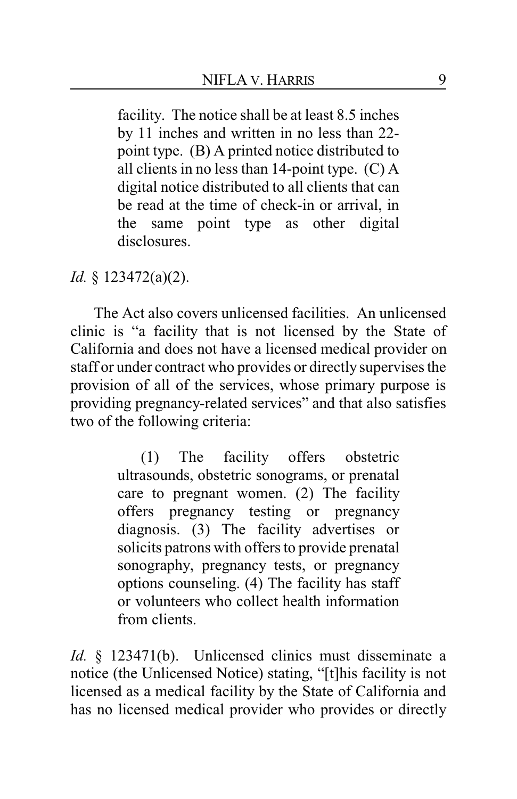facility. The notice shall be at least 8.5 inches by 11 inches and written in no less than 22 point type. (B) A printed notice distributed to all clients in no less than 14-point type. (C) A digital notice distributed to all clients that can be read at the time of check-in or arrival, in the same point type as other digital disclosures.

## *Id.* § 123472(a)(2).

The Act also covers unlicensed facilities. An unlicensed clinic is "a facility that is not licensed by the State of California and does not have a licensed medical provider on staff or under contract who provides or directly supervises the provision of all of the services, whose primary purpose is providing pregnancy-related services" and that also satisfies two of the following criteria:

> (1) The facility offers obstetric ultrasounds, obstetric sonograms, or prenatal care to pregnant women. (2) The facility offers pregnancy testing or pregnancy diagnosis. (3) The facility advertises or solicits patrons with offers to provide prenatal sonography, pregnancy tests, or pregnancy options counseling. (4) The facility has staff or volunteers who collect health information from clients.

*Id.* § 123471(b). Unlicensed clinics must disseminate a notice (the Unlicensed Notice) stating, "[t]his facility is not licensed as a medical facility by the State of California and has no licensed medical provider who provides or directly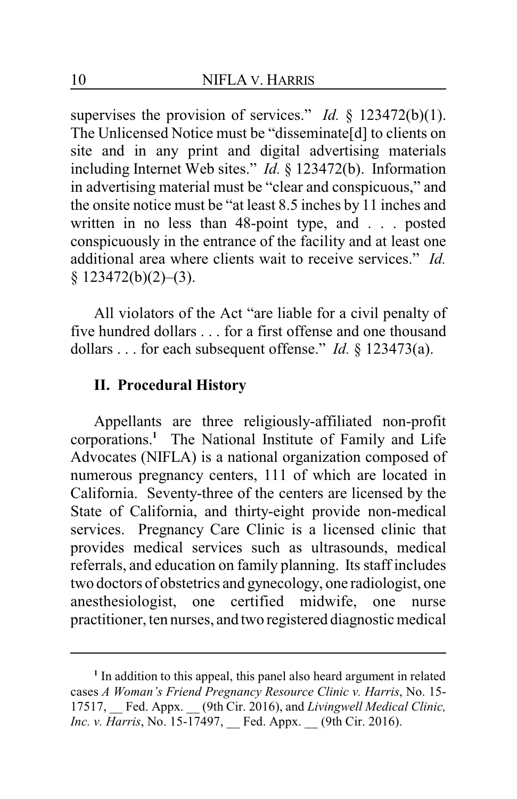supervises the provision of services." *Id.* § 123472(b)(1). The Unlicensed Notice must be "disseminate[d] to clients on site and in any print and digital advertising materials including Internet Web sites." *Id.* § 123472(b). Information in advertising material must be "clear and conspicuous," and the onsite notice must be "at least 8.5 inches by 11 inches and written in no less than 48-point type, and . . . posted conspicuously in the entrance of the facility and at least one additional area where clients wait to receive services." *Id.*  $§$  123472(b)(2)–(3).

All violators of the Act "are liable for a civil penalty of five hundred dollars . . . for a first offense and one thousand dollars . . . for each subsequent offense." *Id.* § 123473(a).

## **II. Procedural History**

Appellants are three religiously-affiliated non-profit corporations.**<sup>1</sup>** The National Institute of Family and Life Advocates (NIFLA) is a national organization composed of numerous pregnancy centers, 111 of which are located in California. Seventy-three of the centers are licensed by the State of California, and thirty-eight provide non-medical services. Pregnancy Care Clinic is a licensed clinic that provides medical services such as ultrasounds, medical referrals, and education on family planning. Its staff includes two doctors of obstetrics and gynecology, one radiologist, one anesthesiologist, one certified midwife, one nurse practitioner, ten nurses, and two registered diagnostic medical

<sup>&</sup>lt;sup>1</sup> In addition to this appeal, this panel also heard argument in related cases *A Woman's Friend Pregnancy Resource Clinic v. Harris*, No. 15- 17517, \_\_ Fed. Appx. \_\_ (9th Cir. 2016), and *Livingwell Medical Clinic, Inc. v. Harris*, No. 15-17497, Fed. Appx. (9th Cir. 2016).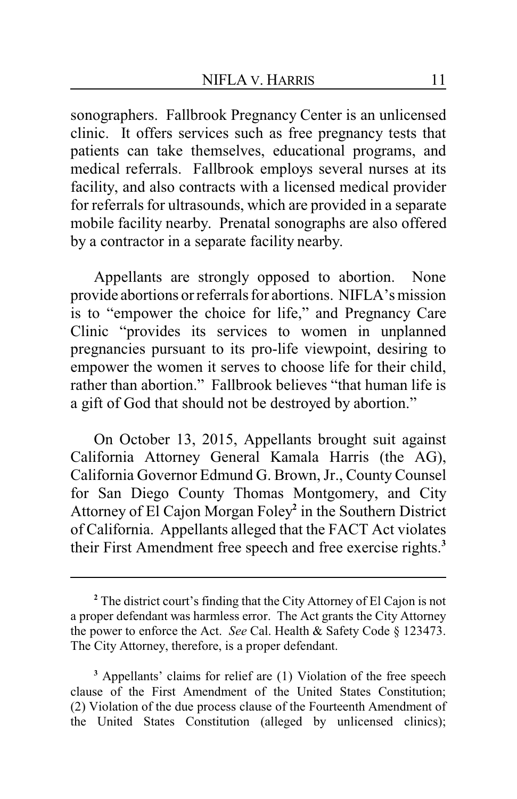sonographers. Fallbrook Pregnancy Center is an unlicensed clinic. It offers services such as free pregnancy tests that patients can take themselves, educational programs, and medical referrals. Fallbrook employs several nurses at its facility, and also contracts with a licensed medical provider for referrals for ultrasounds, which are provided in a separate mobile facility nearby. Prenatal sonographs are also offered by a contractor in a separate facility nearby.

Appellants are strongly opposed to abortion. None provide abortions or referrals for abortions. NIFLA's mission is to "empower the choice for life," and Pregnancy Care Clinic "provides its services to women in unplanned pregnancies pursuant to its pro-life viewpoint, desiring to empower the women it serves to choose life for their child, rather than abortion." Fallbrook believes "that human life is a gift of God that should not be destroyed by abortion."

On October 13, 2015, Appellants brought suit against California Attorney General Kamala Harris (the AG), California Governor Edmund G. Brown, Jr., County Counsel for San Diego County Thomas Montgomery, and City Attorney of El Cajon Morgan Foley**<sup>2</sup>** in the Southern District of California. Appellants alleged that the FACT Act violates their First Amendment free speech and free exercise rights.**<sup>3</sup>**

**<sup>2</sup>** The district court's finding that the City Attorney of El Cajon is not a proper defendant was harmless error. The Act grants the City Attorney the power to enforce the Act. *See* Cal. Health & Safety Code § 123473. The City Attorney, therefore, is a proper defendant.

**<sup>3</sup>** Appellants' claims for relief are (1) Violation of the free speech clause of the First Amendment of the United States Constitution; (2) Violation of the due process clause of the Fourteenth Amendment of the United States Constitution (alleged by unlicensed clinics);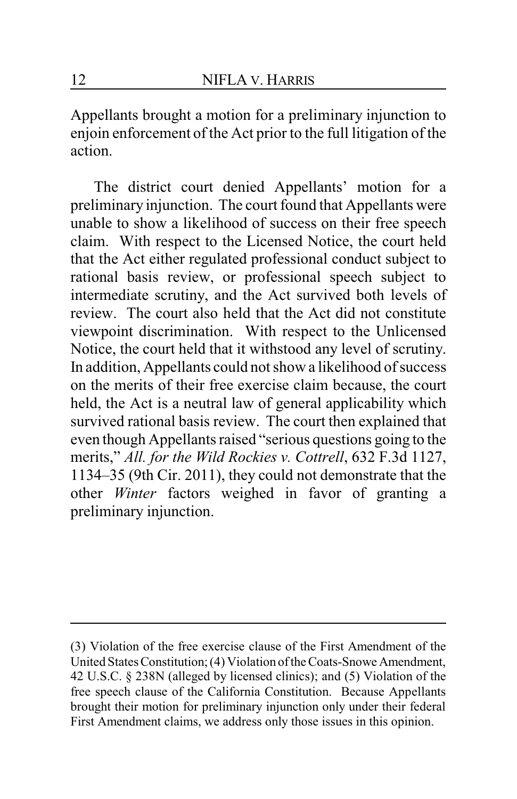Appellants brought a motion for a preliminary injunction to enjoin enforcement of the Act prior to the full litigation of the action.

The district court denied Appellants' motion for a preliminary injunction. The court found that Appellants were unable to show a likelihood of success on their free speech claim. With respect to the Licensed Notice, the court held that the Act either regulated professional conduct subject to rational basis review, or professional speech subject to intermediate scrutiny, and the Act survived both levels of review. The court also held that the Act did not constitute viewpoint discrimination. With respect to the Unlicensed Notice, the court held that it withstood any level of scrutiny. In addition, Appellants could not show a likelihood of success on the merits of their free exercise claim because, the court held, the Act is a neutral law of general applicability which survived rational basis review. The court then explained that even though Appellants raised "serious questions going to the merits," *All. for the Wild Rockies v. Cottrell*, 632 F.3d 1127, 1134–35 (9th Cir. 2011), they could not demonstrate that the other *Winter* factors weighed in favor of granting a preliminary injunction.

<sup>(3)</sup> Violation of the free exercise clause of the First Amendment of the United States Constitution; (4) Violation ofthe Coats-Snowe Amendment, 42 U.S.C. § 238N (alleged by licensed clinics); and (5) Violation of the free speech clause of the California Constitution. Because Appellants brought their motion for preliminary injunction only under their federal First Amendment claims, we address only those issues in this opinion.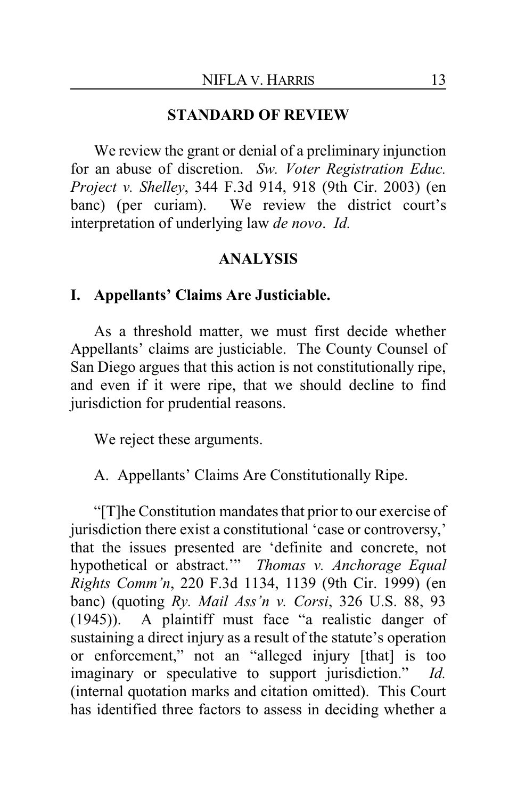#### **STANDARD OF REVIEW**

We review the grant or denial of a preliminary injunction for an abuse of discretion. *Sw. Voter Registration Educ. Project v. Shelley*, 344 F.3d 914, 918 (9th Cir. 2003) (en banc) (per curiam). We review the district court's interpretation of underlying law *de novo*. *Id.*

#### **ANALYSIS**

#### **I. Appellants' Claims Are Justiciable.**

As a threshold matter, we must first decide whether Appellants' claims are justiciable. The County Counsel of San Diego argues that this action is not constitutionally ripe, and even if it were ripe, that we should decline to find jurisdiction for prudential reasons.

We reject these arguments.

A. Appellants' Claims Are Constitutionally Ripe.

"[T]he Constitution mandates that prior to our exercise of jurisdiction there exist a constitutional 'case or controversy,' that the issues presented are 'definite and concrete, not hypothetical or abstract.'" *Thomas v. Anchorage Equal Rights Comm'n*, 220 F.3d 1134, 1139 (9th Cir. 1999) (en banc) (quoting *Ry. Mail Ass'n v. Corsi*, 326 U.S. 88, 93 (1945)). A plaintiff must face "a realistic danger of sustaining a direct injury as a result of the statute's operation or enforcement," not an "alleged injury [that] is too imaginary or speculative to support jurisdiction." *Id.* (internal quotation marks and citation omitted). This Court has identified three factors to assess in deciding whether a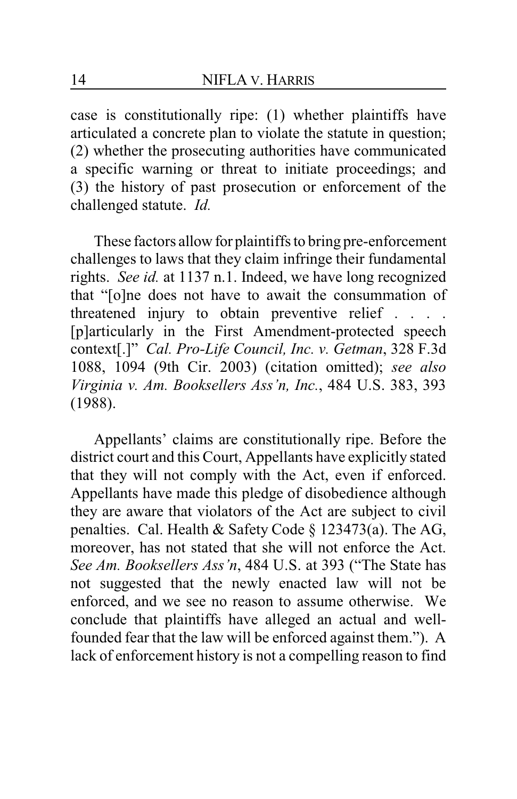case is constitutionally ripe: (1) whether plaintiffs have articulated a concrete plan to violate the statute in question; (2) whether the prosecuting authorities have communicated a specific warning or threat to initiate proceedings; and (3) the history of past prosecution or enforcement of the challenged statute. *Id.*

These factors allow for plaintiffs to bring pre-enforcement challenges to laws that they claim infringe their fundamental rights. *See id.* at 1137 n.1. Indeed, we have long recognized that "[o]ne does not have to await the consummation of threatened injury to obtain preventive relief . . . . [p]articularly in the First Amendment-protected speech context[.]" *Cal. Pro-Life Council, Inc. v. Getman*, 328 F.3d 1088, 1094 (9th Cir. 2003) (citation omitted); *see also Virginia v. Am. Booksellers Ass'n, Inc.*, 484 U.S. 383, 393 (1988).

Appellants' claims are constitutionally ripe. Before the district court and this Court, Appellants have explicitly stated that they will not comply with the Act, even if enforced. Appellants have made this pledge of disobedience although they are aware that violators of the Act are subject to civil penalties. Cal. Health & Safety Code § 123473(a). The AG, moreover, has not stated that she will not enforce the Act. *See Am. Booksellers Ass'n*, 484 U.S. at 393 ("The State has not suggested that the newly enacted law will not be enforced, and we see no reason to assume otherwise. We conclude that plaintiffs have alleged an actual and wellfounded fear that the law will be enforced against them."). A lack of enforcement history is not a compelling reason to find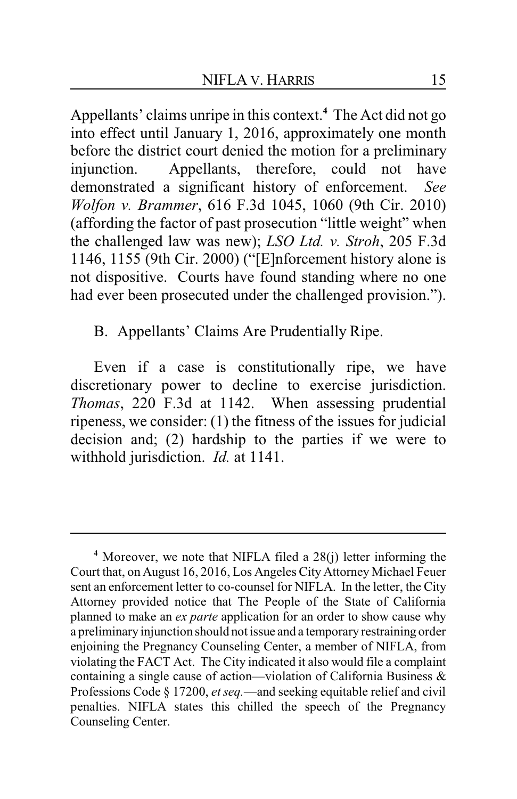Appellants' claims unripe in this context.**<sup>4</sup>** The Act did not go into effect until January 1, 2016, approximately one month before the district court denied the motion for a preliminary injunction. Appellants, therefore, could not have demonstrated a significant history of enforcement. *See Wolfon v. Brammer*, 616 F.3d 1045, 1060 (9th Cir. 2010) (affording the factor of past prosecution "little weight" when the challenged law was new); *LSO Ltd. v. Stroh*, 205 F.3d 1146, 1155 (9th Cir. 2000) ("[E]nforcement history alone is not dispositive. Courts have found standing where no one had ever been prosecuted under the challenged provision.").

B. Appellants' Claims Are Prudentially Ripe.

Even if a case is constitutionally ripe, we have discretionary power to decline to exercise jurisdiction. *Thomas*, 220 F.3d at 1142. When assessing prudential ripeness, we consider: (1) the fitness of the issues for judicial decision and; (2) hardship to the parties if we were to withhold jurisdiction. *Id.* at 1141.

**<sup>4</sup>** Moreover, we note that NIFLA filed a 28(j) letter informing the Court that, on August 16, 2016, Los Angeles City Attorney Michael Feuer sent an enforcement letter to co-counsel for NIFLA. In the letter, the City Attorney provided notice that The People of the State of California planned to make an *ex parte* application for an order to show cause why a preliminary injunction should not issue and a temporary restraining order enjoining the Pregnancy Counseling Center, a member of NIFLA, from violating the FACT Act. The City indicated it also would file a complaint containing a single cause of action—violation of California Business & Professions Code § 17200, *et seq.*—and seeking equitable relief and civil penalties. NIFLA states this chilled the speech of the Pregnancy Counseling Center.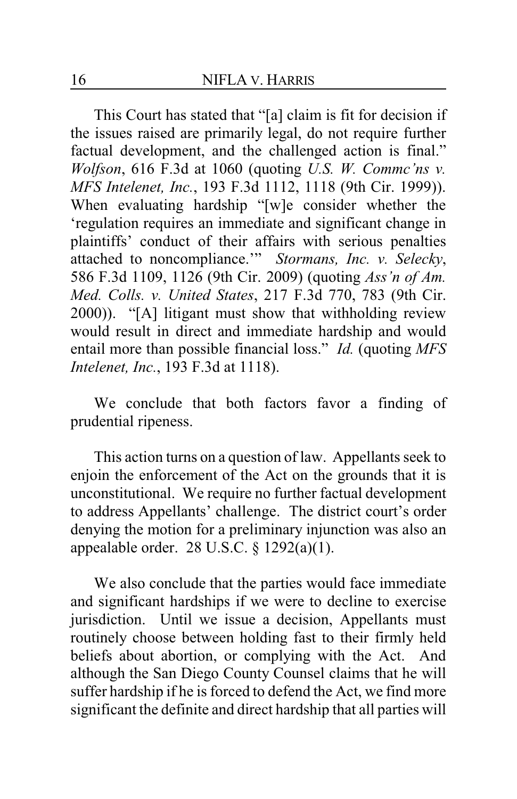This Court has stated that "[a] claim is fit for decision if the issues raised are primarily legal, do not require further factual development, and the challenged action is final." *Wolfson*, 616 F.3d at 1060 (quoting *U.S. W. Commc'ns v. MFS Intelenet, Inc.*, 193 F.3d 1112, 1118 (9th Cir. 1999)). When evaluating hardship "[w]e consider whether the 'regulation requires an immediate and significant change in plaintiffs' conduct of their affairs with serious penalties attached to noncompliance.'" *Stormans, Inc. v. Selecky*, 586 F.3d 1109, 1126 (9th Cir. 2009) (quoting *Ass'n of Am. Med. Colls. v. United States*, 217 F.3d 770, 783 (9th Cir. 2000)). "[A] litigant must show that withholding review would result in direct and immediate hardship and would entail more than possible financial loss." *Id.* (quoting *MFS Intelenet, Inc.*, 193 F.3d at 1118).

We conclude that both factors favor a finding of prudential ripeness.

This action turns on a question of law. Appellants seek to enjoin the enforcement of the Act on the grounds that it is unconstitutional. We require no further factual development to address Appellants' challenge. The district court's order denying the motion for a preliminary injunction was also an appealable order.  $28$  U.S.C.  $\S$  1292(a)(1).

We also conclude that the parties would face immediate and significant hardships if we were to decline to exercise jurisdiction. Until we issue a decision, Appellants must routinely choose between holding fast to their firmly held beliefs about abortion, or complying with the Act. And although the San Diego County Counsel claims that he will suffer hardship if he is forced to defend the Act, we find more significant the definite and direct hardship that all parties will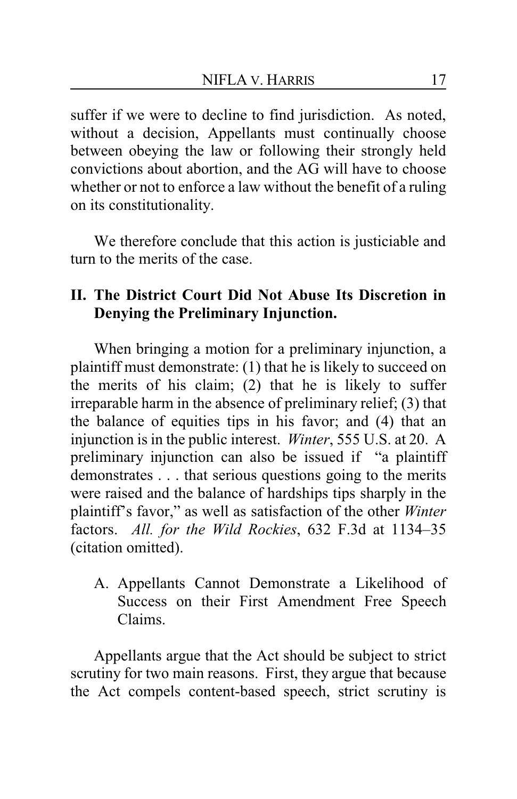suffer if we were to decline to find jurisdiction. As noted, without a decision, Appellants must continually choose between obeying the law or following their strongly held convictions about abortion, and the AG will have to choose whether or not to enforce a law without the benefit of a ruling on its constitutionality.

We therefore conclude that this action is justiciable and turn to the merits of the case.

# **II. The District Court Did Not Abuse Its Discretion in Denying the Preliminary Injunction.**

When bringing a motion for a preliminary injunction, a plaintiff must demonstrate: (1) that he is likely to succeed on the merits of his claim; (2) that he is likely to suffer irreparable harm in the absence of preliminary relief; (3) that the balance of equities tips in his favor; and (4) that an injunction is in the public interest. *Winter*, 555 U.S. at 20. A preliminary injunction can also be issued if "a plaintiff demonstrates . . . that serious questions going to the merits were raised and the balance of hardships tips sharply in the plaintiff's favor," as well as satisfaction of the other *Winter* factors. *All. for the Wild Rockies*, 632 F.3d at 1134–35 (citation omitted).

A. Appellants Cannot Demonstrate a Likelihood of Success on their First Amendment Free Speech Claims.

Appellants argue that the Act should be subject to strict scrutiny for two main reasons. First, they argue that because the Act compels content-based speech, strict scrutiny is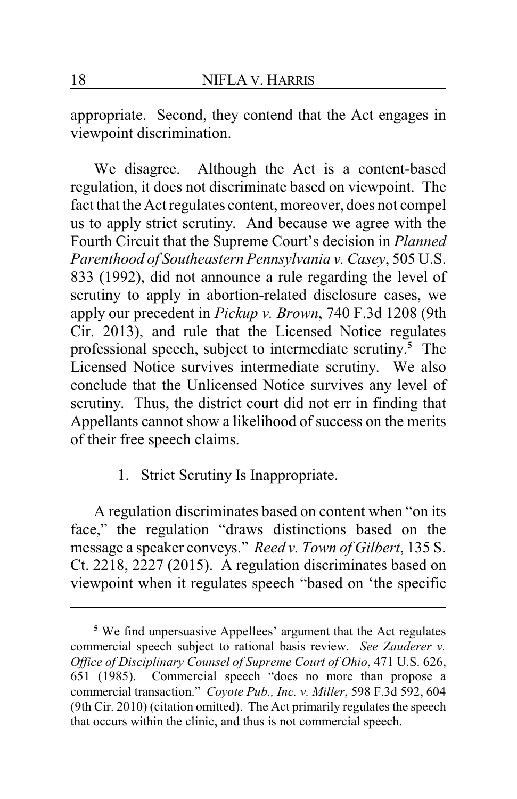appropriate. Second, they contend that the Act engages in viewpoint discrimination.

We disagree. Although the Act is a content-based regulation, it does not discriminate based on viewpoint. The fact that the Act regulates content, moreover, does not compel us to apply strict scrutiny. And because we agree with the Fourth Circuit that the Supreme Court's decision in *Planned Parenthood of Southeastern Pennsylvania v. Casey*, 505 U.S. 833 (1992), did not announce a rule regarding the level of scrutiny to apply in abortion-related disclosure cases, we apply our precedent in *Pickup v. Brown*, 740 F.3d 1208 (9th Cir. 2013), and rule that the Licensed Notice regulates professional speech, subject to intermediate scrutiny. **<sup>5</sup>** The Licensed Notice survives intermediate scrutiny. We also conclude that the Unlicensed Notice survives any level of scrutiny. Thus, the district court did not err in finding that Appellants cannot show a likelihood of success on the merits of their free speech claims.

1. Strict Scrutiny Is Inappropriate.

A regulation discriminates based on content when "on its face," the regulation "draws distinctions based on the message a speaker conveys." *Reed v. Town of Gilbert*, 135 S. Ct. 2218, 2227 (2015). A regulation discriminates based on viewpoint when it regulates speech "based on 'the specific

**<sup>5</sup>** We find unpersuasive Appellees' argument that the Act regulates commercial speech subject to rational basis review. *See Zauderer v. Office of Disciplinary Counsel of Supreme Court of Ohio*, 471 U.S. 626, 651 (1985). Commercial speech "does no more than propose a commercial transaction." *Coyote Pub., Inc. v. Miller*, 598 F.3d 592, 604 (9th Cir. 2010) (citation omitted). The Act primarily regulates the speech that occurs within the clinic, and thus is not commercial speech.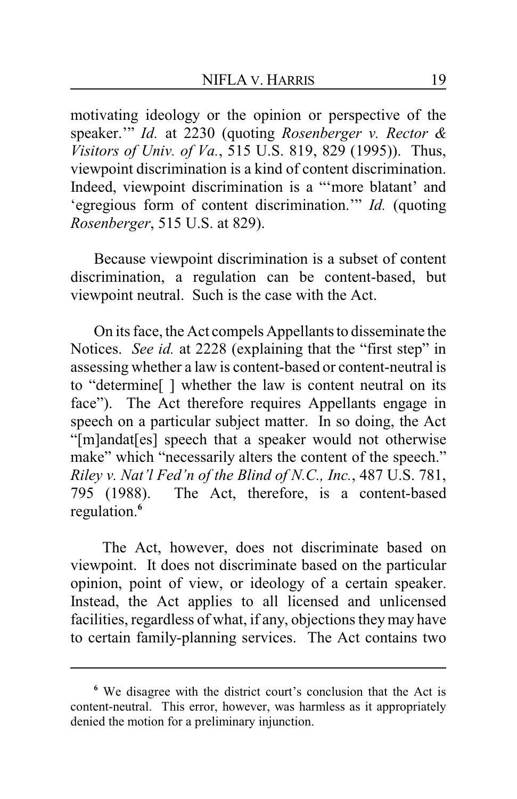motivating ideology or the opinion or perspective of the speaker.'" *Id.* at 2230 (quoting *Rosenberger v. Rector & Visitors of Univ. of Va.*, 515 U.S. 819, 829 (1995)). Thus, viewpoint discrimination is a kind of content discrimination. Indeed, viewpoint discrimination is a "'more blatant' and 'egregious form of content discrimination.'" *Id.* (quoting *Rosenberger*, 515 U.S. at 829).

Because viewpoint discrimination is a subset of content discrimination, a regulation can be content-based, but viewpoint neutral. Such is the case with the Act.

On its face, the Act compels Appellants to disseminate the Notices. *See id.* at 2228 (explaining that the "first step" in assessing whether a law is content-based or content-neutral is to "determine[ ] whether the law is content neutral on its face"). The Act therefore requires Appellants engage in speech on a particular subject matter. In so doing, the Act "[m]andat[es] speech that a speaker would not otherwise make" which "necessarily alters the content of the speech." *Riley v. Nat'l Fed'n of the Blind of N.C., Inc.*, 487 U.S. 781, 795 (1988). The Act, therefore, is a content-based regulation.**<sup>6</sup>**

The Act, however, does not discriminate based on viewpoint. It does not discriminate based on the particular opinion, point of view, or ideology of a certain speaker. Instead, the Act applies to all licensed and unlicensed facilities, regardless of what, if any, objections theymay have to certain family-planning services. The Act contains two

**<sup>6</sup>** We disagree with the district court's conclusion that the Act is content-neutral. This error, however, was harmless as it appropriately denied the motion for a preliminary injunction.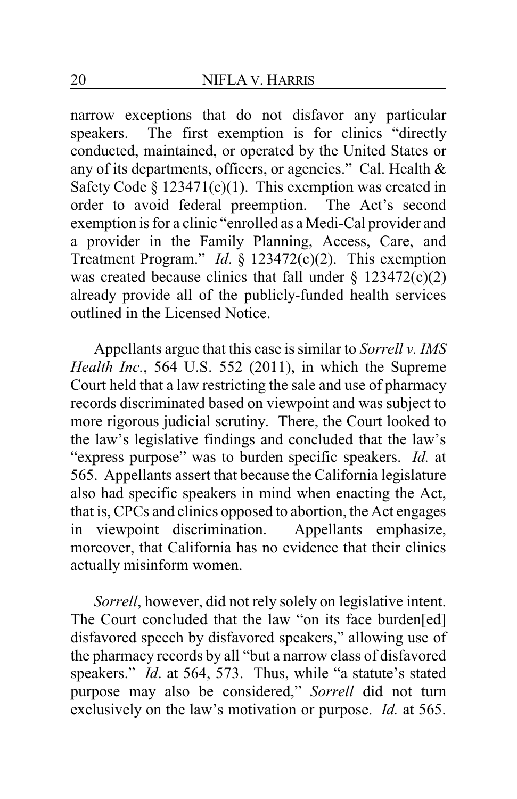narrow exceptions that do not disfavor any particular speakers. The first exemption is for clinics "directly conducted, maintained, or operated by the United States or any of its departments, officers, or agencies." Cal. Health & Safety Code §  $123471(c)(1)$ . This exemption was created in order to avoid federal preemption. The Act's second exemption is for a clinic "enrolled as a Medi-Cal provider and a provider in the Family Planning, Access, Care, and Treatment Program." *Id*. § 123472(c)(2). This exemption was created because clinics that fall under  $\S$  123472(c)(2) already provide all of the publicly-funded health services outlined in the Licensed Notice.

Appellants argue that this case is similar to *Sorrell v. IMS Health Inc.*, 564 U.S. 552 (2011), in which the Supreme Court held that a law restricting the sale and use of pharmacy records discriminated based on viewpoint and was subject to more rigorous judicial scrutiny. There, the Court looked to the law's legislative findings and concluded that the law's "express purpose" was to burden specific speakers. *Id.* at 565. Appellants assert that because the California legislature also had specific speakers in mind when enacting the Act, that is, CPCs and clinics opposed to abortion, the Act engages in viewpoint discrimination. Appellants emphasize, moreover, that California has no evidence that their clinics actually misinform women.

*Sorrell*, however, did not rely solely on legislative intent. The Court concluded that the law "on its face burden[ed] disfavored speech by disfavored speakers," allowing use of the pharmacy records by all "but a narrow class of disfavored speakers." *Id*. at 564, 573. Thus, while "a statute's stated purpose may also be considered," *Sorrell* did not turn exclusively on the law's motivation or purpose. *Id.* at 565.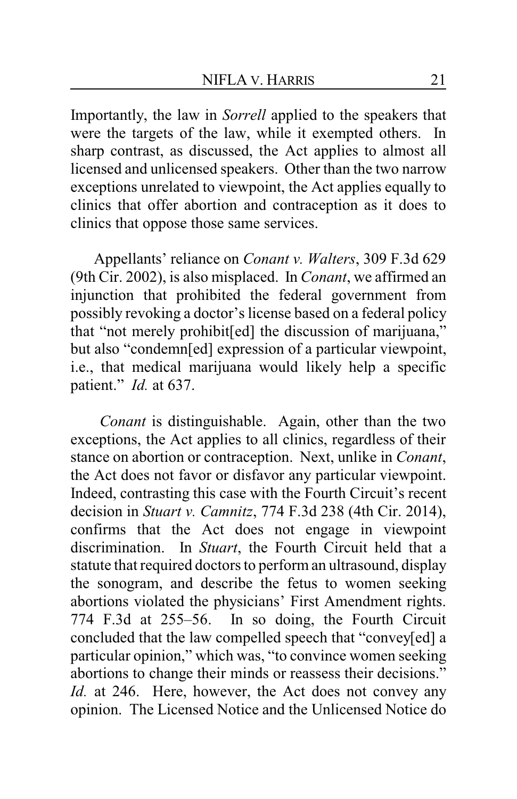Importantly, the law in *Sorrell* applied to the speakers that were the targets of the law, while it exempted others. In sharp contrast, as discussed, the Act applies to almost all licensed and unlicensed speakers. Other than the two narrow exceptions unrelated to viewpoint, the Act applies equally to clinics that offer abortion and contraception as it does to clinics that oppose those same services.

Appellants' reliance on *Conant v. Walters*, 309 F.3d 629 (9th Cir. 2002), is also misplaced. In *Conant*, we affirmed an injunction that prohibited the federal government from possibly revoking a doctor's license based on a federal policy that "not merely prohibit[ed] the discussion of marijuana," but also "condemn[ed] expression of a particular viewpoint, i.e., that medical marijuana would likely help a specific patient." *Id.* at 637.

*Conant* is distinguishable. Again, other than the two exceptions, the Act applies to all clinics, regardless of their stance on abortion or contraception. Next, unlike in *Conant*, the Act does not favor or disfavor any particular viewpoint. Indeed, contrasting this case with the Fourth Circuit's recent decision in *Stuart v. Camnitz*, 774 F.3d 238 (4th Cir. 2014), confirms that the Act does not engage in viewpoint discrimination. In *Stuart*, the Fourth Circuit held that a statute that required doctors to perform an ultrasound, display the sonogram, and describe the fetus to women seeking abortions violated the physicians' First Amendment rights. 774 F.3d at 255–56. In so doing, the Fourth Circuit concluded that the law compelled speech that "convey[ed] a particular opinion," which was, "to convince women seeking abortions to change their minds or reassess their decisions." *Id.* at 246. Here, however, the Act does not convey any opinion. The Licensed Notice and the Unlicensed Notice do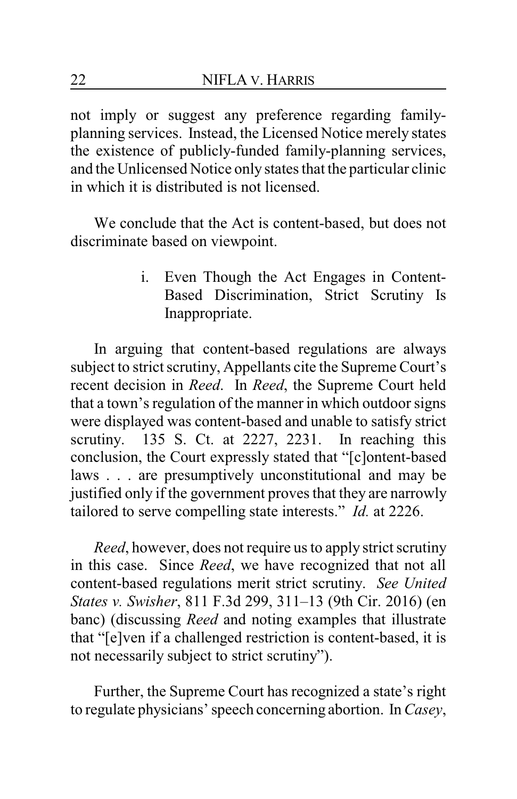not imply or suggest any preference regarding familyplanning services. Instead, the Licensed Notice merely states the existence of publicly-funded family-planning services, and the Unlicensed Notice only states that the particular clinic in which it is distributed is not licensed.

We conclude that the Act is content-based, but does not discriminate based on viewpoint.

> i. Even Though the Act Engages in Content-Based Discrimination, Strict Scrutiny Is Inappropriate.

In arguing that content-based regulations are always subject to strict scrutiny, Appellants cite the Supreme Court's recent decision in *Reed*. In *Reed*, the Supreme Court held that a town's regulation of the manner in which outdoor signs were displayed was content-based and unable to satisfy strict scrutiny. 135 S. Ct. at 2227, 2231. In reaching this conclusion, the Court expressly stated that "[c]ontent-based laws . . . are presumptively unconstitutional and may be justified only if the government proves that they are narrowly tailored to serve compelling state interests." *Id.* at 2226.

*Reed*, however, does not require us to apply strict scrutiny in this case. Since *Reed*, we have recognized that not all content-based regulations merit strict scrutiny. *See United States v. Swisher*, 811 F.3d 299, 311–13 (9th Cir. 2016) (en banc) (discussing *Reed* and noting examples that illustrate that "[e]ven if a challenged restriction is content-based, it is not necessarily subject to strict scrutiny").

Further, the Supreme Court has recognized a state's right to regulate physicians' speech concerning abortion. In *Casey*,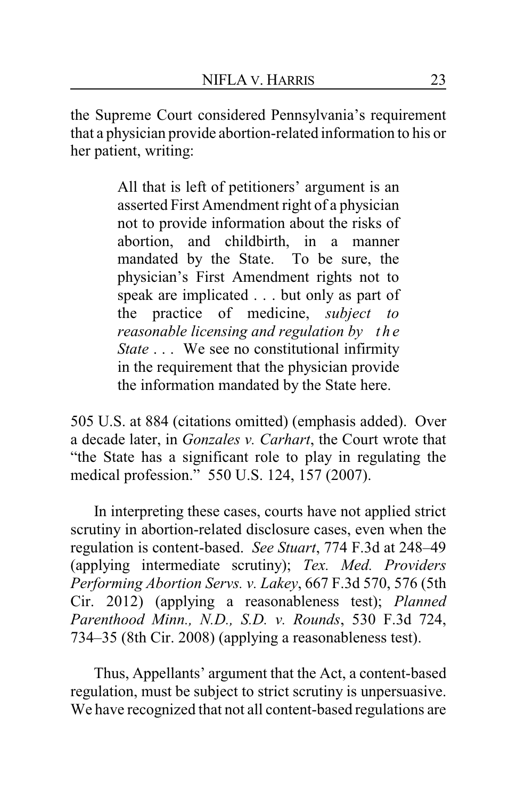the Supreme Court considered Pennsylvania's requirement that a physician provide abortion-related information to his or her patient, writing:

> All that is left of petitioners' argument is an asserted First Amendment right of a physician not to provide information about the risks of abortion, and childbirth, in a manner mandated by the State. To be sure, the physician's First Amendment rights not to speak are implicated . . . but only as part of the practice of medicine, *subject to reasonable licensing and regulation by the State* . . . We see no constitutional infirmity in the requirement that the physician provide the information mandated by the State here.

505 U.S. at 884 (citations omitted) (emphasis added). Over a decade later, in *Gonzales v. Carhart*, the Court wrote that "the State has a significant role to play in regulating the medical profession." 550 U.S. 124, 157 (2007).

In interpreting these cases, courts have not applied strict scrutiny in abortion-related disclosure cases, even when the regulation is content-based. *See Stuart*, 774 F.3d at 248–49 (applying intermediate scrutiny); *Tex. Med. Providers Performing Abortion Servs. v. Lakey*, 667 F.3d 570, 576 (5th Cir. 2012) (applying a reasonableness test); *Planned Parenthood Minn., N.D., S.D. v. Rounds*, 530 F.3d 724, 734–35 (8th Cir. 2008) (applying a reasonableness test).

Thus, Appellants' argument that the Act, a content-based regulation, must be subject to strict scrutiny is unpersuasive. We have recognized that not all content-based regulations are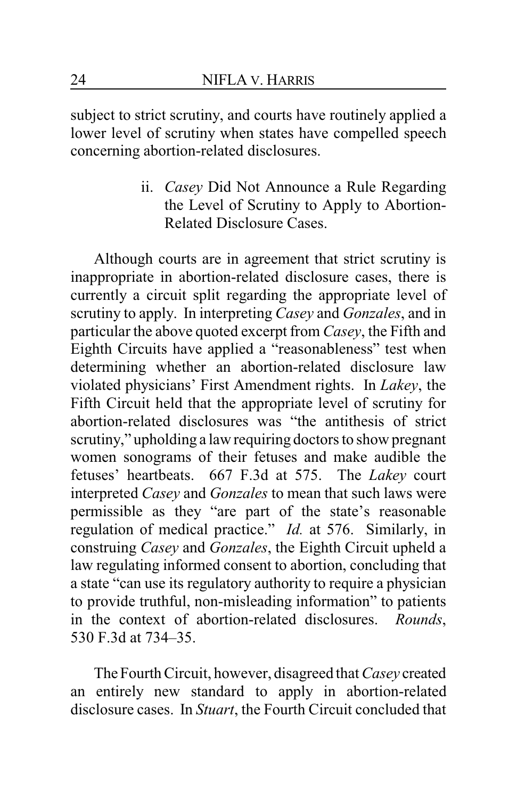subject to strict scrutiny, and courts have routinely applied a lower level of scrutiny when states have compelled speech concerning abortion-related disclosures.

> ii. *Casey* Did Not Announce a Rule Regarding the Level of Scrutiny to Apply to Abortion-Related Disclosure Cases.

Although courts are in agreement that strict scrutiny is inappropriate in abortion-related disclosure cases, there is currently a circuit split regarding the appropriate level of scrutiny to apply. In interpreting *Casey* and *Gonzales*, and in particular the above quoted excerpt from *Casey*, the Fifth and Eighth Circuits have applied a "reasonableness" test when determining whether an abortion-related disclosure law violated physicians' First Amendment rights. In *Lakey*, the Fifth Circuit held that the appropriate level of scrutiny for abortion-related disclosures was "the antithesis of strict scrutiny," upholding a law requiring doctors to show pregnant women sonograms of their fetuses and make audible the fetuses' heartbeats. 667 F.3d at 575. The *Lakey* court interpreted *Casey* and *Gonzales* to mean that such laws were permissible as they "are part of the state's reasonable regulation of medical practice." *Id.* at 576. Similarly, in construing *Casey* and *Gonzales*, the Eighth Circuit upheld a law regulating informed consent to abortion, concluding that a state "can use its regulatory authority to require a physician to provide truthful, non-misleading information" to patients in the context of abortion-related disclosures. *Rounds*, 530 F.3d at 734–35.

TheFourth Circuit, however, disagreed that *Casey* created an entirely new standard to apply in abortion-related disclosure cases. In *Stuart*, the Fourth Circuit concluded that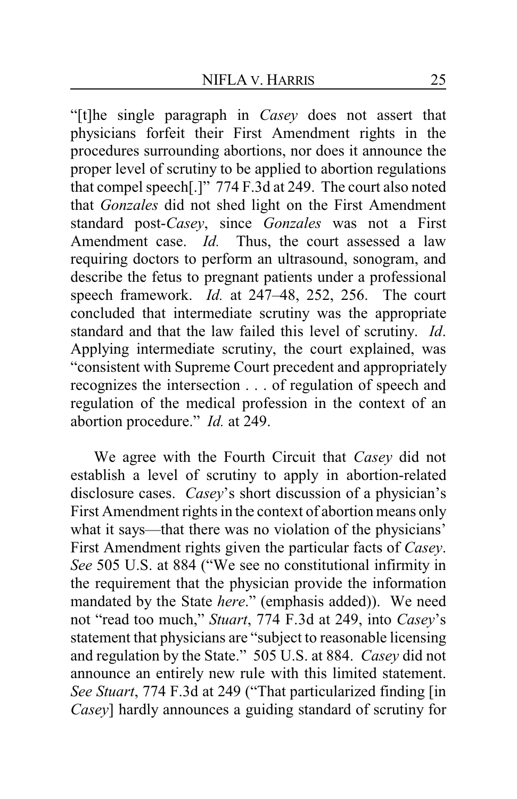"[t]he single paragraph in *Casey* does not assert that physicians forfeit their First Amendment rights in the procedures surrounding abortions, nor does it announce the proper level of scrutiny to be applied to abortion regulations that compel speech[.]" 774 F.3d at 249. The court also noted that *Gonzales* did not shed light on the First Amendment standard post-*Casey*, since *Gonzales* was not a First Amendment case. *Id.* Thus, the court assessed a law requiring doctors to perform an ultrasound, sonogram, and describe the fetus to pregnant patients under a professional speech framework. *Id.* at 247–48, 252, 256. The court concluded that intermediate scrutiny was the appropriate standard and that the law failed this level of scrutiny. *Id*. Applying intermediate scrutiny, the court explained, was "consistent with Supreme Court precedent and appropriately recognizes the intersection . . . of regulation of speech and regulation of the medical profession in the context of an abortion procedure." *Id.* at 249.

We agree with the Fourth Circuit that *Casey* did not establish a level of scrutiny to apply in abortion-related disclosure cases. *Casey*'s short discussion of a physician's First Amendment rights in the context of abortion means only what it says—that there was no violation of the physicians' First Amendment rights given the particular facts of *Casey*. *See* 505 U.S. at 884 ("We see no constitutional infirmity in the requirement that the physician provide the information mandated by the State *here*." (emphasis added)). We need not "read too much," *Stuart*, 774 F.3d at 249, into *Casey*'s statement that physicians are "subject to reasonable licensing and regulation by the State." 505 U.S. at 884. *Casey* did not announce an entirely new rule with this limited statement. *See Stuart*, 774 F.3d at 249 ("That particularized finding [in *Casey*] hardly announces a guiding standard of scrutiny for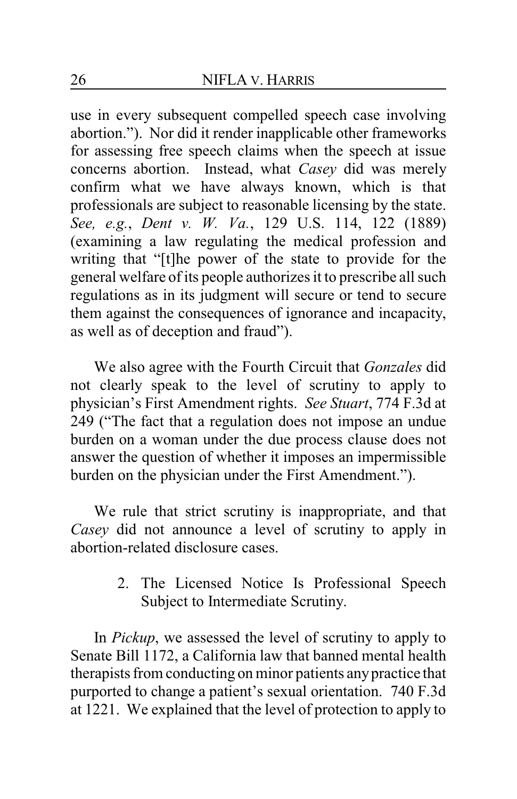use in every subsequent compelled speech case involving abortion."). Nor did it render inapplicable other frameworks for assessing free speech claims when the speech at issue concerns abortion. Instead, what *Casey* did was merely confirm what we have always known, which is that professionals are subject to reasonable licensing by the state. *See, e.g.*, *Dent v. W. Va.*, 129 U.S. 114, 122 (1889) (examining a law regulating the medical profession and writing that "[t]he power of the state to provide for the general welfare of its people authorizes it to prescribe all such regulations as in its judgment will secure or tend to secure them against the consequences of ignorance and incapacity, as well as of deception and fraud").

We also agree with the Fourth Circuit that *Gonzales* did not clearly speak to the level of scrutiny to apply to physician's First Amendment rights. *See Stuart*, 774 F.3d at 249 ("The fact that a regulation does not impose an undue burden on a woman under the due process clause does not answer the question of whether it imposes an impermissible burden on the physician under the First Amendment.").

We rule that strict scrutiny is inappropriate, and that *Casey* did not announce a level of scrutiny to apply in abortion-related disclosure cases.

> 2. The Licensed Notice Is Professional Speech Subject to Intermediate Scrutiny.

In *Pickup*, we assessed the level of scrutiny to apply to Senate Bill 1172, a California law that banned mental health therapists from conducting on minor patients anypractice that purported to change a patient's sexual orientation. 740 F.3d at 1221. We explained that the level of protection to apply to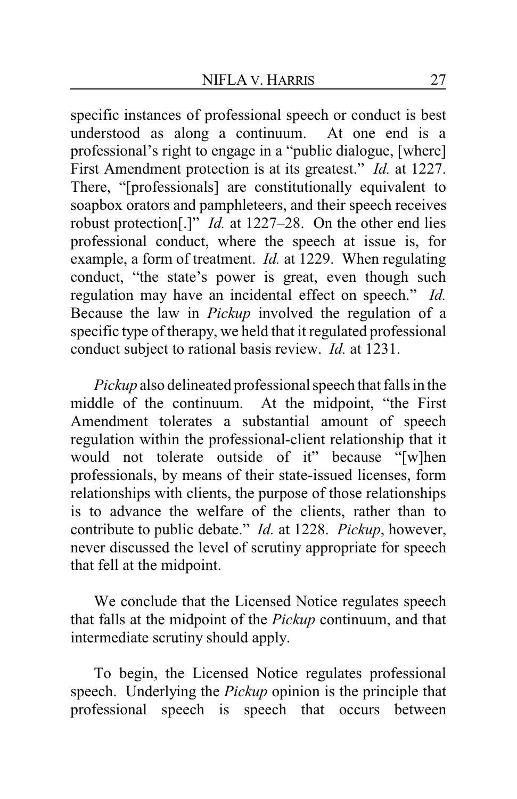specific instances of professional speech or conduct is best understood as along a continuum. At one end is a professional's right to engage in a "public dialogue, [where] First Amendment protection is at its greatest." *Id.* at 1227. There, "[professionals] are constitutionally equivalent to soapbox orators and pamphleteers, and their speech receives robust protection[.]" *Id.* at 1227–28. On the other end lies professional conduct, where the speech at issue is, for example, a form of treatment. *Id.* at 1229. When regulating conduct, "the state's power is great, even though such regulation may have an incidental effect on speech." *Id.* Because the law in *Pickup* involved the regulation of a specific type of therapy, we held that it regulated professional conduct subject to rational basis review. *Id.* at 1231.

*Pickup* also delineated professional speech that falls in the middle of the continuum. At the midpoint, "the First Amendment tolerates a substantial amount of speech regulation within the professional-client relationship that it would not tolerate outside of it" because "[w]hen professionals, by means of their state-issued licenses, form relationships with clients, the purpose of those relationships is to advance the welfare of the clients, rather than to contribute to public debate." *Id.* at 1228. *Pickup*, however, never discussed the level of scrutiny appropriate for speech that fell at the midpoint.

We conclude that the Licensed Notice regulates speech that falls at the midpoint of the *Pickup* continuum, and that intermediate scrutiny should apply.

To begin, the Licensed Notice regulates professional speech. Underlying the *Pickup* opinion is the principle that professional speech is speech that occurs between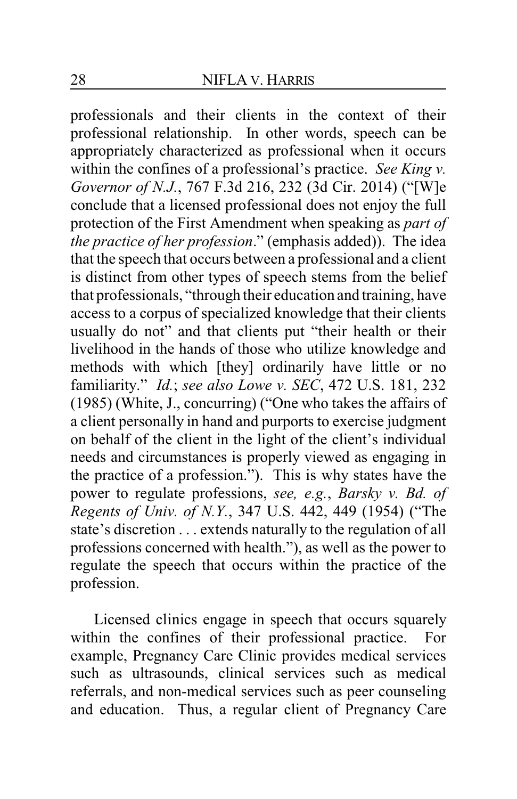professionals and their clients in the context of their professional relationship. In other words, speech can be appropriately characterized as professional when it occurs within the confines of a professional's practice. *See King v. Governor of N.J.*, 767 F.3d 216, 232 (3d Cir. 2014) ("[W]e conclude that a licensed professional does not enjoy the full protection of the First Amendment when speaking as *part of the practice of her profession*." (emphasis added)). The idea that the speech that occurs between a professional and a client is distinct from other types of speech stems from the belief that professionals, "through their education and training, have access to a corpus of specialized knowledge that their clients usually do not" and that clients put "their health or their livelihood in the hands of those who utilize knowledge and methods with which [they] ordinarily have little or no familiarity." *Id.*; *see also Lowe v. SEC*, 472 U.S. 181, 232 (1985) (White, J., concurring) ("One who takes the affairs of a client personally in hand and purports to exercise judgment on behalf of the client in the light of the client's individual needs and circumstances is properly viewed as engaging in the practice of a profession."). This is why states have the power to regulate professions, *see, e.g.*, *Barsky v. Bd. of Regents of Univ. of N.Y.*, 347 U.S. 442, 449 (1954) ("The state's discretion . . . extends naturally to the regulation of all professions concerned with health."), as well as the power to regulate the speech that occurs within the practice of the profession.

Licensed clinics engage in speech that occurs squarely within the confines of their professional practice. For example, Pregnancy Care Clinic provides medical services such as ultrasounds, clinical services such as medical referrals, and non-medical services such as peer counseling and education. Thus, a regular client of Pregnancy Care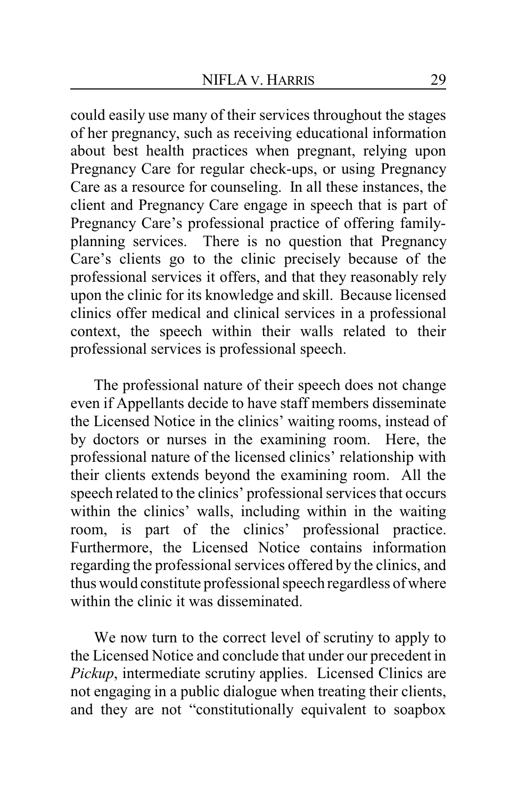could easily use many of their services throughout the stages of her pregnancy, such as receiving educational information about best health practices when pregnant, relying upon Pregnancy Care for regular check-ups, or using Pregnancy Care as a resource for counseling. In all these instances, the client and Pregnancy Care engage in speech that is part of Pregnancy Care's professional practice of offering familyplanning services. There is no question that Pregnancy Care's clients go to the clinic precisely because of the professional services it offers, and that they reasonably rely upon the clinic for its knowledge and skill. Because licensed clinics offer medical and clinical services in a professional context, the speech within their walls related to their professional services is professional speech.

The professional nature of their speech does not change even if Appellants decide to have staff members disseminate the Licensed Notice in the clinics' waiting rooms, instead of by doctors or nurses in the examining room. Here, the professional nature of the licensed clinics' relationship with their clients extends beyond the examining room. All the speech related to the clinics' professional services that occurs within the clinics' walls, including within in the waiting room, is part of the clinics' professional practice. Furthermore, the Licensed Notice contains information regarding the professional services offered by the clinics, and thus would constitute professional speech regardless of where within the clinic it was disseminated.

We now turn to the correct level of scrutiny to apply to the Licensed Notice and conclude that under our precedent in *Pickup*, intermediate scrutiny applies. Licensed Clinics are not engaging in a public dialogue when treating their clients, and they are not "constitutionally equivalent to soapbox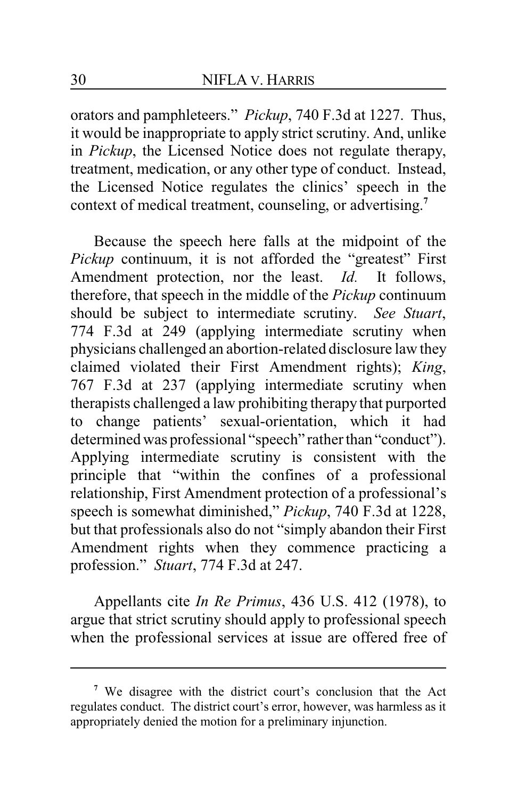orators and pamphleteers." *Pickup*, 740 F.3d at 1227. Thus, it would be inappropriate to apply strict scrutiny. And, unlike in *Pickup*, the Licensed Notice does not regulate therapy, treatment, medication, or any other type of conduct. Instead, the Licensed Notice regulates the clinics' speech in the context of medical treatment, counseling, or advertising. **7**

Because the speech here falls at the midpoint of the *Pickup* continuum, it is not afforded the "greatest" First Amendment protection, nor the least. *Id.* It follows, therefore, that speech in the middle of the *Pickup* continuum should be subject to intermediate scrutiny. *See Stuart*, 774 F.3d at 249 (applying intermediate scrutiny when physicians challenged an abortion-related disclosure law they claimed violated their First Amendment rights); *King*, 767 F.3d at 237 (applying intermediate scrutiny when therapists challenged a law prohibiting therapy that purported to change patients' sexual-orientation, which it had determined was professional "speech" rather than "conduct"). Applying intermediate scrutiny is consistent with the principle that "within the confines of a professional relationship, First Amendment protection of a professional's speech is somewhat diminished," *Pickup*, 740 F.3d at 1228, but that professionals also do not "simply abandon their First Amendment rights when they commence practicing a profession." *Stuart*, 774 F.3d at 247.

Appellants cite *In Re Primus*, 436 U.S. 412 (1978), to argue that strict scrutiny should apply to professional speech when the professional services at issue are offered free of

**<sup>7</sup>** We disagree with the district court's conclusion that the Act regulates conduct. The district court's error, however, was harmless as it appropriately denied the motion for a preliminary injunction.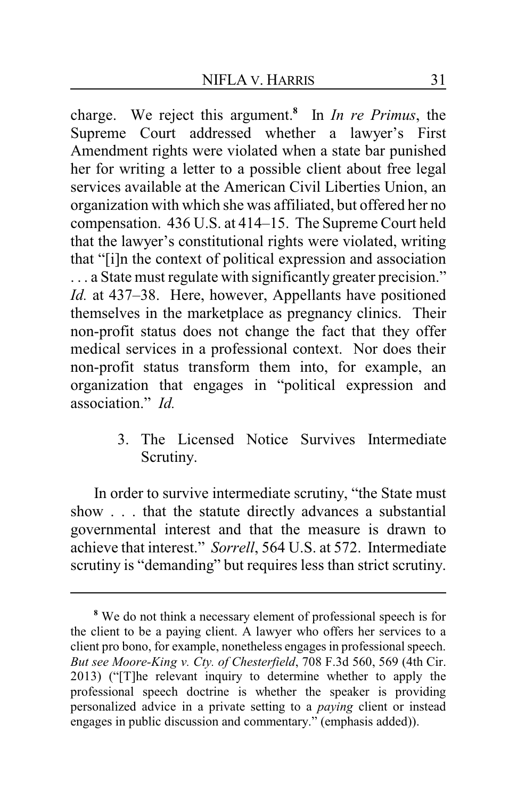charge. We reject this argument.**<sup>8</sup>** In *In re Primus*, the Supreme Court addressed whether a lawyer's First Amendment rights were violated when a state bar punished her for writing a letter to a possible client about free legal services available at the American Civil Liberties Union, an organization with which she was affiliated, but offered her no compensation. 436 U.S. at 414–15. The Supreme Court held that the lawyer's constitutional rights were violated, writing that "[i]n the context of political expression and association . . . a State must regulate with significantly greater precision." *Id.* at 437–38. Here, however, Appellants have positioned themselves in the marketplace as pregnancy clinics. Their non-profit status does not change the fact that they offer medical services in a professional context. Nor does their non-profit status transform them into, for example, an organization that engages in "political expression and association." *Id.*

> 3. The Licensed Notice Survives Intermediate Scrutiny.

In order to survive intermediate scrutiny, "the State must show . . . that the statute directly advances a substantial governmental interest and that the measure is drawn to achieve that interest." *Sorrell*, 564 U.S. at 572. Intermediate scrutiny is "demanding" but requires less than strict scrutiny.

**<sup>8</sup>** We do not think a necessary element of professional speech is for the client to be a paying client. A lawyer who offers her services to a client pro bono, for example, nonetheless engages in professional speech. *But see Moore-King v. Cty. of Chesterfield*, 708 F.3d 560, 569 (4th Cir. 2013) ("[T]he relevant inquiry to determine whether to apply the professional speech doctrine is whether the speaker is providing personalized advice in a private setting to a *paying* client or instead engages in public discussion and commentary." (emphasis added)).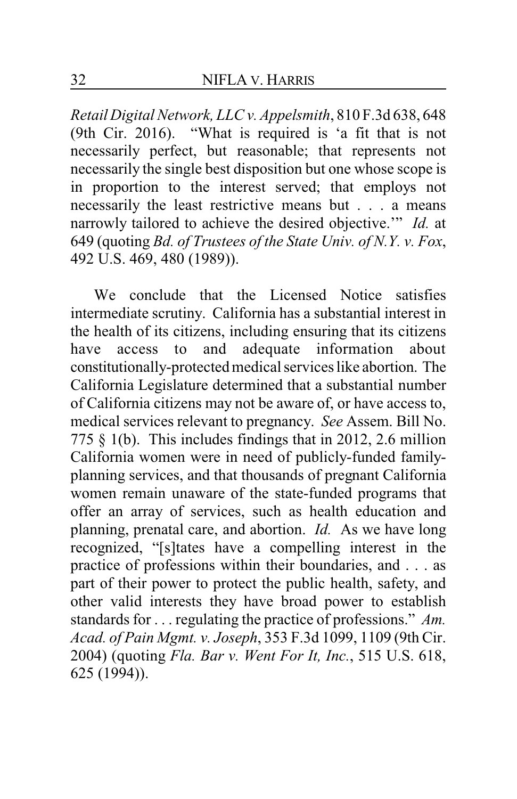*Retail Digital Network, LLC v. Appelsmith*, 810 F.3d 638, 648 (9th Cir. 2016). "What is required is 'a fit that is not necessarily perfect, but reasonable; that represents not necessarily the single best disposition but one whose scope is in proportion to the interest served; that employs not necessarily the least restrictive means but . . . a means narrowly tailored to achieve the desired objective.'" *Id.* at 649 (quoting *Bd. of Trustees of the State Univ. of N.Y. v. Fox*, 492 U.S. 469, 480 (1989)).

We conclude that the Licensed Notice satisfies intermediate scrutiny. California has a substantial interest in the health of its citizens, including ensuring that its citizens have access to and adequate information about constitutionally-protected medical services like abortion. The California Legislature determined that a substantial number of California citizens may not be aware of, or have access to, medical services relevant to pregnancy. *See* Assem. Bill No. 775 § 1(b). This includes findings that in 2012, 2.6 million California women were in need of publicly-funded familyplanning services, and that thousands of pregnant California women remain unaware of the state-funded programs that offer an array of services, such as health education and planning, prenatal care, and abortion. *Id.* As we have long recognized, "[s]tates have a compelling interest in the practice of professions within their boundaries, and . . . as part of their power to protect the public health, safety, and other valid interests they have broad power to establish standards for . . . regulating the practice of professions." *Am. Acad. of Pain Mgmt. v. Joseph*, 353 F.3d 1099, 1109 (9th Cir. 2004) (quoting *Fla. Bar v. Went For It, Inc.*, 515 U.S. 618, 625 (1994)).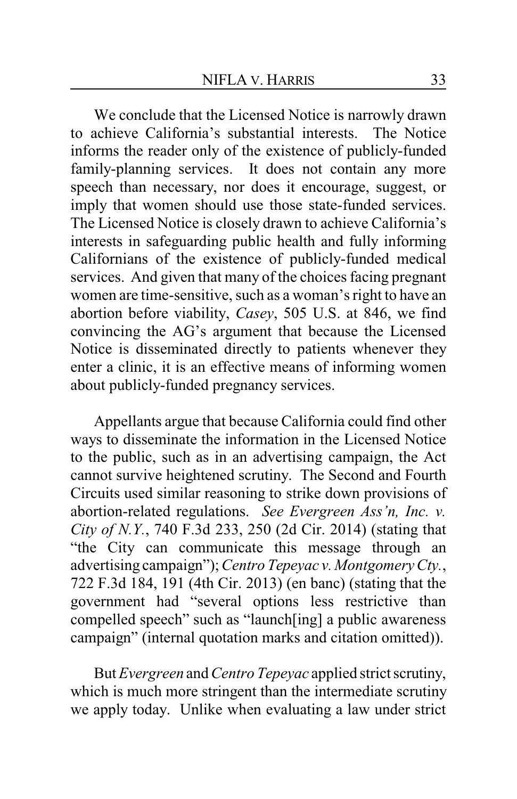We conclude that the Licensed Notice is narrowly drawn to achieve California's substantial interests. The Notice informs the reader only of the existence of publicly-funded family-planning services. It does not contain any more speech than necessary, nor does it encourage, suggest, or imply that women should use those state-funded services. The Licensed Notice is closely drawn to achieve California's interests in safeguarding public health and fully informing Californians of the existence of publicly-funded medical services. And given that many of the choices facing pregnant women are time-sensitive, such as a woman's right to have an abortion before viability, *Casey*, 505 U.S. at 846, we find convincing the AG's argument that because the Licensed Notice is disseminated directly to patients whenever they enter a clinic, it is an effective means of informing women about publicly-funded pregnancy services.

Appellants argue that because California could find other ways to disseminate the information in the Licensed Notice to the public, such as in an advertising campaign, the Act cannot survive heightened scrutiny. The Second and Fourth Circuits used similar reasoning to strike down provisions of abortion-related regulations. *See Evergreen Ass'n, Inc. v. City of N.Y.*, 740 F.3d 233, 250 (2d Cir. 2014) (stating that "the City can communicate this message through an advertising campaign");*Centro Tepeyac v. Montgomery Cty.*, 722 F.3d 184, 191 (4th Cir. 2013) (en banc) (stating that the government had "several options less restrictive than compelled speech" such as "launch[ing] a public awareness campaign" (internal quotation marks and citation omitted)).

But *Evergreen* and*Centro Tepeyac* applied strict scrutiny, which is much more stringent than the intermediate scrutiny we apply today. Unlike when evaluating a law under strict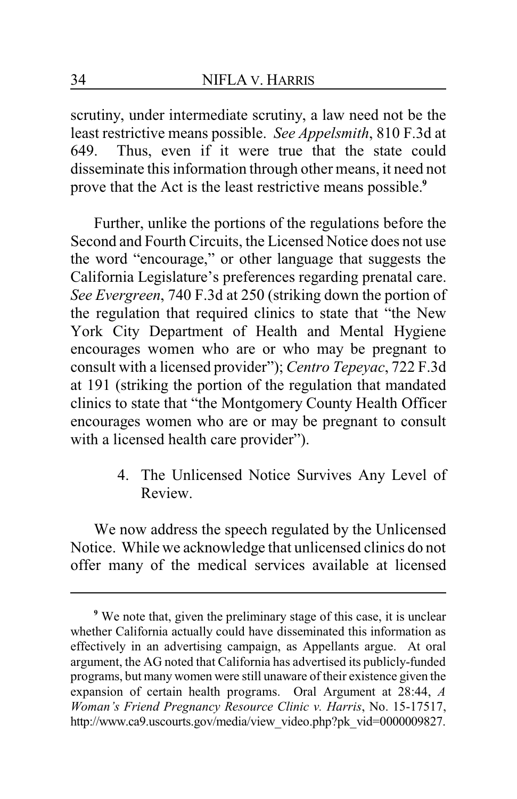scrutiny, under intermediate scrutiny, a law need not be the least restrictive means possible. *See Appelsmith*, 810 F.3d at 649. Thus, even if it were true that the state could disseminate this information through other means, it need not prove that the Act is the least restrictive means possible.**<sup>9</sup>**

Further, unlike the portions of the regulations before the Second and Fourth Circuits, the Licensed Notice does not use the word "encourage," or other language that suggests the California Legislature's preferences regarding prenatal care. *See Evergreen*, 740 F.3d at 250 (striking down the portion of the regulation that required clinics to state that "the New York City Department of Health and Mental Hygiene encourages women who are or who may be pregnant to consult with a licensed provider"); *Centro Tepeyac*, 722 F.3d at 191 (striking the portion of the regulation that mandated clinics to state that "the Montgomery County Health Officer encourages women who are or may be pregnant to consult with a licensed health care provider").

> 4. The Unlicensed Notice Survives Any Level of Review.

We now address the speech regulated by the Unlicensed Notice. While we acknowledge that unlicensed clinics do not offer many of the medical services available at licensed

**<sup>9</sup>** We note that, given the preliminary stage of this case, it is unclear whether California actually could have disseminated this information as effectively in an advertising campaign, as Appellants argue. At oral argument, the AG noted that California has advertised its publicly-funded programs, but many women were still unaware of their existence given the expansion of certain health programs. Oral Argument at 28:44, *A Woman's Friend Pregnancy Resource Clinic v. Harris*, No. 15-17517, http://www.ca9.uscourts.gov/media/view\_video.php?pk\_vid=0000009827.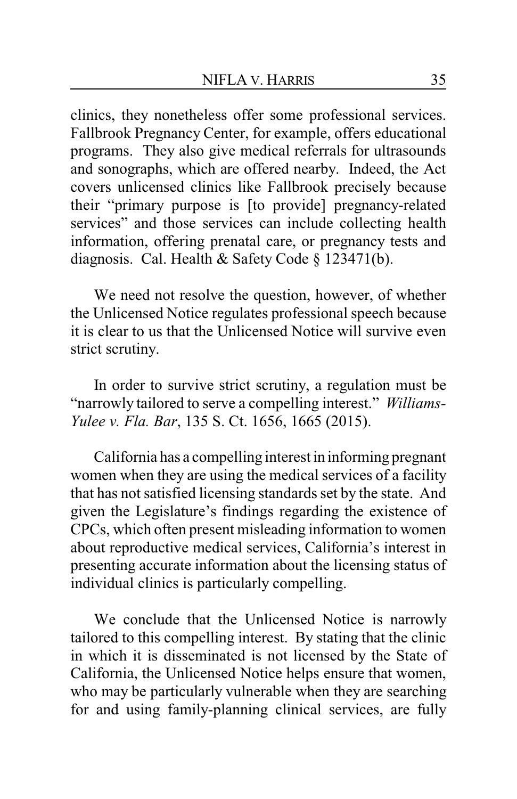clinics, they nonetheless offer some professional services. Fallbrook Pregnancy Center, for example, offers educational programs. They also give medical referrals for ultrasounds and sonographs, which are offered nearby. Indeed, the Act covers unlicensed clinics like Fallbrook precisely because their "primary purpose is [to provide] pregnancy-related services" and those services can include collecting health information, offering prenatal care, or pregnancy tests and diagnosis. Cal. Health & Safety Code § 123471(b).

We need not resolve the question, however, of whether the Unlicensed Notice regulates professional speech because it is clear to us that the Unlicensed Notice will survive even strict scrutiny.

In order to survive strict scrutiny, a regulation must be "narrowly tailored to serve a compelling interest." *Williams-Yulee v. Fla. Bar*, 135 S. Ct. 1656, 1665 (2015).

California has a compelling interest in informing pregnant women when they are using the medical services of a facility that has not satisfied licensing standards set by the state. And given the Legislature's findings regarding the existence of CPCs, which often present misleading information to women about reproductive medical services, California's interest in presenting accurate information about the licensing status of individual clinics is particularly compelling.

We conclude that the Unlicensed Notice is narrowly tailored to this compelling interest. By stating that the clinic in which it is disseminated is not licensed by the State of California, the Unlicensed Notice helps ensure that women, who may be particularly vulnerable when they are searching for and using family-planning clinical services, are fully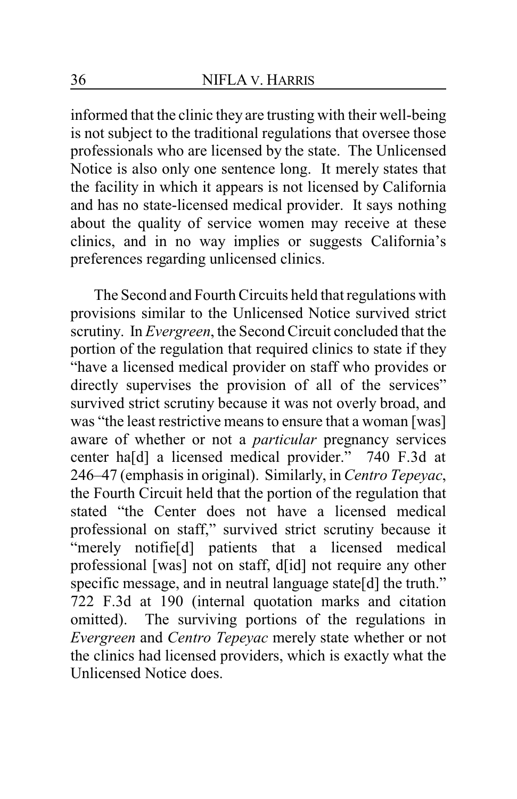informed that the clinic they are trusting with their well-being is not subject to the traditional regulations that oversee those professionals who are licensed by the state. The Unlicensed Notice is also only one sentence long. It merely states that the facility in which it appears is not licensed by California and has no state-licensed medical provider. It says nothing about the quality of service women may receive at these clinics, and in no way implies or suggests California's preferences regarding unlicensed clinics.

The Second and Fourth Circuits held that regulations with provisions similar to the Unlicensed Notice survived strict scrutiny. In *Evergreen*, the Second Circuit concluded that the portion of the regulation that required clinics to state if they "have a licensed medical provider on staff who provides or directly supervises the provision of all of the services" survived strict scrutiny because it was not overly broad, and was "the least restrictive means to ensure that a woman [was] aware of whether or not a *particular* pregnancy services center ha[d] a licensed medical provider." 740 F.3d at 246–47 (emphasis in original). Similarly, in *Centro Tepeyac*, the Fourth Circuit held that the portion of the regulation that stated "the Center does not have a licensed medical professional on staff," survived strict scrutiny because it "merely notifie[d] patients that a licensed medical professional [was] not on staff, d[id] not require any other specific message, and in neutral language state[d] the truth." 722 F.3d at 190 (internal quotation marks and citation omitted). The surviving portions of the regulations in *Evergreen* and *Centro Tepeyac* merely state whether or not the clinics had licensed providers, which is exactly what the Unlicensed Notice does.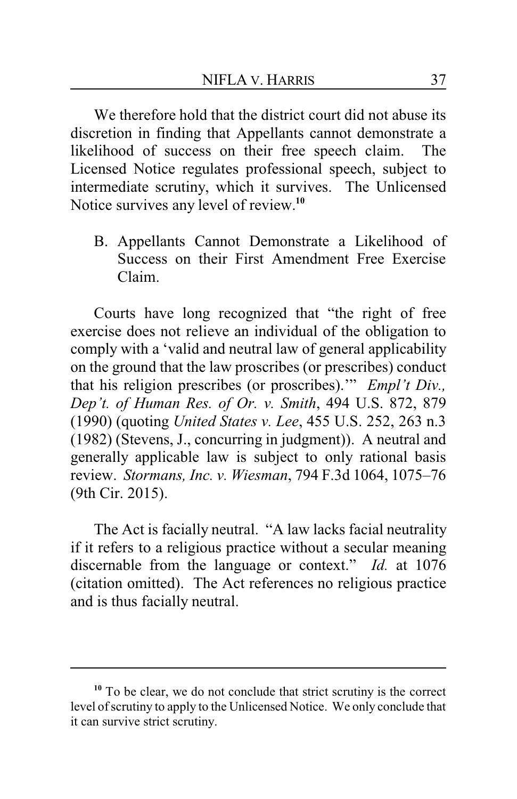We therefore hold that the district court did not abuse its discretion in finding that Appellants cannot demonstrate a likelihood of success on their free speech claim. The Licensed Notice regulates professional speech, subject to intermediate scrutiny, which it survives. The Unlicensed Notice survives any level of review.**<sup>10</sup>**

B. Appellants Cannot Demonstrate a Likelihood of Success on their First Amendment Free Exercise Claim.

Courts have long recognized that "the right of free exercise does not relieve an individual of the obligation to comply with a 'valid and neutral law of general applicability on the ground that the law proscribes (or prescribes) conduct that his religion prescribes (or proscribes).'" *Empl't Div., Dep't. of Human Res. of Or. v. Smith*, 494 U.S. 872, 879 (1990) (quoting *United States v. Lee*, 455 U.S. 252, 263 n.3 (1982) (Stevens, J., concurring in judgment)). A neutral and generally applicable law is subject to only rational basis review. *Stormans, Inc. v. Wiesman*, 794 F.3d 1064, 1075–76 (9th Cir. 2015).

The Act is facially neutral. "A law lacks facial neutrality if it refers to a religious practice without a secular meaning discernable from the language or context." *Id.* at 1076 (citation omitted). The Act references no religious practice and is thus facially neutral.

**<sup>10</sup>** To be clear, we do not conclude that strict scrutiny is the correct level of scrutiny to apply to the Unlicensed Notice. We only conclude that it can survive strict scrutiny.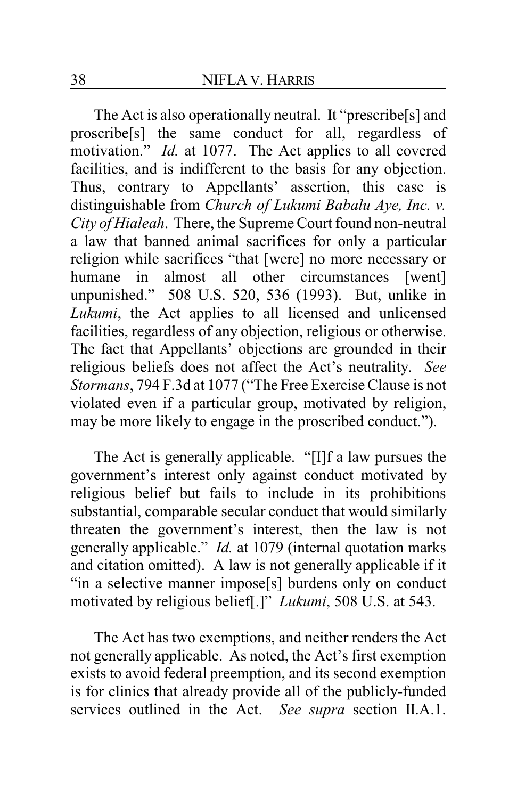The Act is also operationally neutral. It "prescribe[s] and proscribe[s] the same conduct for all, regardless of motivation." *Id.* at 1077. The Act applies to all covered facilities, and is indifferent to the basis for any objection. Thus, contrary to Appellants' assertion, this case is distinguishable from *Church of Lukumi Babalu Aye, Inc. v. City of Hialeah*. There, the Supreme Court found non-neutral a law that banned animal sacrifices for only a particular religion while sacrifices "that [were] no more necessary or humane in almost all other circumstances [went] unpunished." 508 U.S. 520, 536 (1993). But, unlike in *Lukumi*, the Act applies to all licensed and unlicensed facilities, regardless of any objection, religious or otherwise. The fact that Appellants' objections are grounded in their religious beliefs does not affect the Act's neutrality. *See Stormans*, 794 F.3d at 1077 ("The Free Exercise Clause is not violated even if a particular group, motivated by religion, may be more likely to engage in the proscribed conduct.").

The Act is generally applicable. "[I]f a law pursues the government's interest only against conduct motivated by religious belief but fails to include in its prohibitions substantial, comparable secular conduct that would similarly threaten the government's interest, then the law is not generally applicable." *Id.* at 1079 (internal quotation marks and citation omitted). A law is not generally applicable if it "in a selective manner impose[s] burdens only on conduct motivated by religious belief[.]" *Lukumi*, 508 U.S. at 543.

The Act has two exemptions, and neither renders the Act not generally applicable. As noted, the Act's first exemption exists to avoid federal preemption, and its second exemption is for clinics that already provide all of the publicly-funded services outlined in the Act. *See supra* section II.A.1.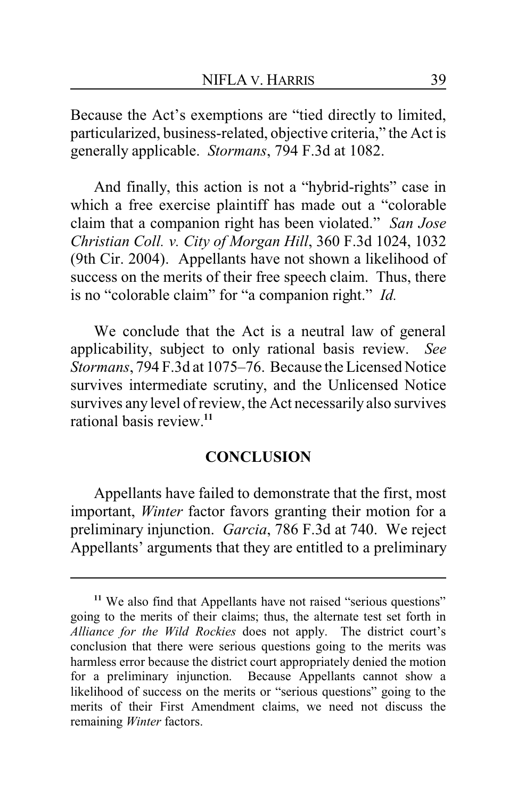Because the Act's exemptions are "tied directly to limited, particularized, business-related, objective criteria," the Act is generally applicable. *Stormans*, 794 F.3d at 1082.

And finally, this action is not a "hybrid-rights" case in which a free exercise plaintiff has made out a "colorable claim that a companion right has been violated." *San Jose Christian Coll. v. City of Morgan Hill*, 360 F.3d 1024, 1032 (9th Cir. 2004). Appellants have not shown a likelihood of success on the merits of their free speech claim. Thus, there is no "colorable claim" for "a companion right." *Id.*

We conclude that the Act is a neutral law of general applicability, subject to only rational basis review. *See Stormans*, 794 F.3d at 1075–76. Because the Licensed Notice survives intermediate scrutiny, and the Unlicensed Notice survives any level of review, the Act necessarily also survives rational basis review.**<sup>11</sup>**

#### **CONCLUSION**

Appellants have failed to demonstrate that the first, most important, *Winter* factor favors granting their motion for a preliminary injunction. *Garcia*, 786 F.3d at 740. We reject Appellants' arguments that they are entitled to a preliminary

<sup>&</sup>lt;sup>11</sup> We also find that Appellants have not raised "serious questions" going to the merits of their claims; thus, the alternate test set forth in *Alliance for the Wild Rockies* does not apply. The district court's conclusion that there were serious questions going to the merits was harmless error because the district court appropriately denied the motion for a preliminary injunction. Because Appellants cannot show a likelihood of success on the merits or "serious questions" going to the merits of their First Amendment claims, we need not discuss the remaining *Winter* factors.